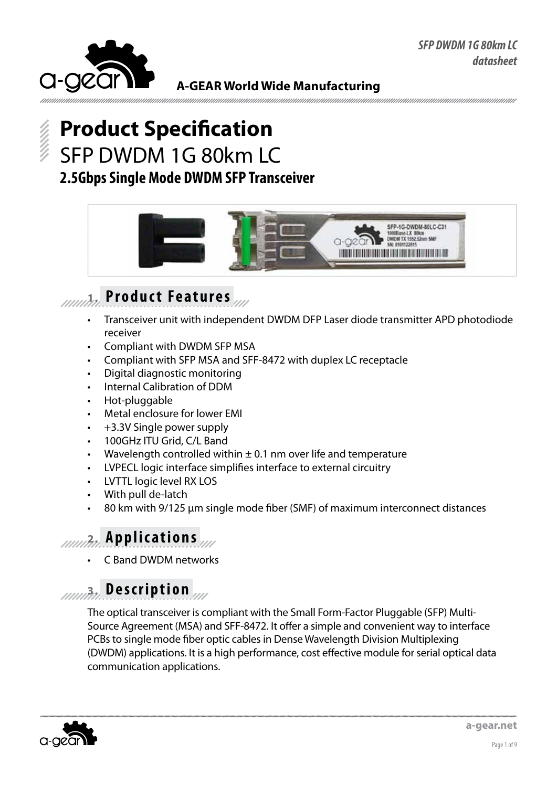

# **Product Specification** SFP DWDM 1G 80km LC **2.5Gbps Single Mode DWDM SFP Transceiver**



### **1. Product Features**

- Transceiver unit with independent DWDM DFP Laser diode transmitter APD photodiode receiver
- Compliant with DWDM SFP MSA
- Compliant with SFP MSA and SFF-8472 with duplex LC receptacle
- Digital diagnostic monitoring
- Internal Calibration of DDM
- Hot-pluggable
- Metal enclosure for lower EMI
- +3.3V Single power supply
- 100GHz ITU Grid, C/L Band
- Wavelength controlled within  $\pm$  0.1 nm over life and temperature
- LVPECL logic interface simplifies interface to external circuitry
- **LVTTL logic level RX LOS**
- With pull de-latch
- 80 km with 9/125 μm single mode fiber (SMF) of maximum interconnect distances

### **2. Applications**

**C Band DWDM networks** 

# **3. Description**

The optical transceiver is compliant with the Small Form-Factor Pluggable (SFP) Multi-Source Agreement (MSA) and SFF-8472. It offer a simple and convenient way to interface PCBs to single mode fiber optic cables in Dense Wavelength Division Multiplexing (DWDM) applications. It is a high performance, cost effective module for serial optical data communication applications.

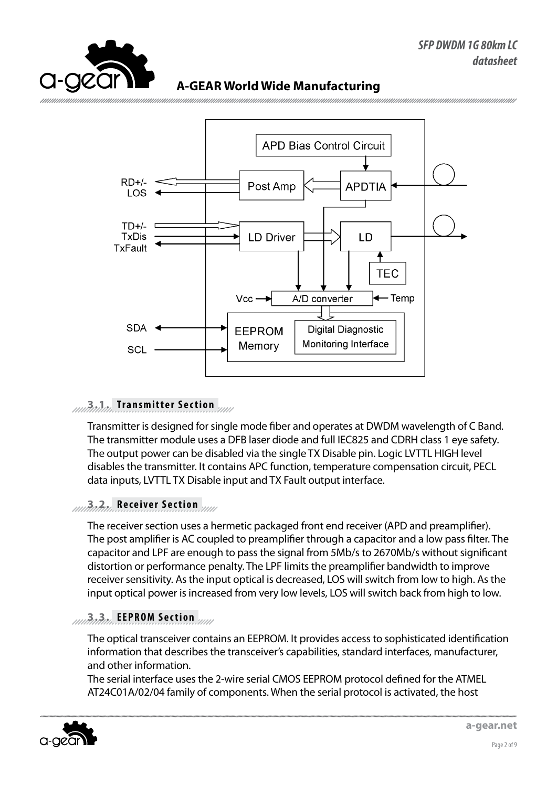



#### **3.1. Transmitter Section**

Transmitter is designed for single mode fiber and operates at DWDM wavelength of C Band. The transmitter module uses a DFB laser diode and full IEC825 and CDRH class 1 eye safety. The output power can be disabled via the single TX Disable pin. Logic LVTTL HIGH level disables the transmitter. It contains APC function, temperature compensation circuit, PECL data inputs, LVTTL TX Disable input and TX Fault output interface.

#### **3.2. Receiver Section**

The receiver section uses a hermetic packaged front end receiver (APD and preamplifier). The post amplifier is AC coupled to preamplifier through a capacitor and a low pass filter. The capacitor and LPF are enough to pass the signal from 5Mb/s to 2670Mb/s without significant distortion or performance penalty. The LPF limits the preamplifier bandwidth to improve receiver sensitivity. As the input optical is decreased, LOS will switch from low to high. As the input optical power is increased from very low levels, LOS will switch back from high to low.

#### **3.3. EEPROM Section**

The optical transceiver contains an EEPROM. It provides access to sophisticated identification information that describes the transceiver's capabilities, standard interfaces, manufacturer, and other information.

The serial interface uses the 2-wire serial CMOS EEPROM protocol defined for the ATMEL AT24C01A/02/04 family of components. When the serial protocol is activated, the host

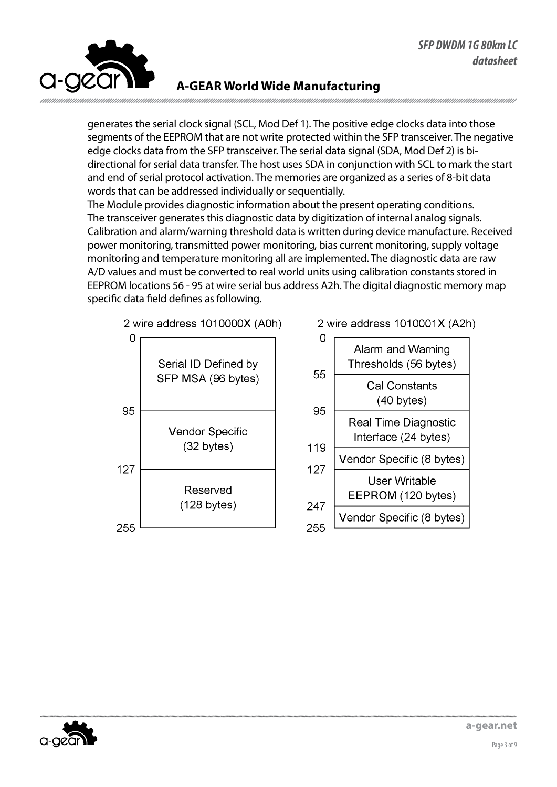

generates the serial clock signal (SCL, Mod Def 1). The positive edge clocks data into those segments of the EEPROM that are not write protected within the SFP transceiver. The negative edge clocks data from the SFP transceiver. The serial data signal (SDA, Mod Def 2) is bidirectional for serial data transfer. The host uses SDA in conjunction with SCL to mark the start and end of serial protocol activation. The memories are organized as a series of 8-bit data words that can be addressed individually or sequentially.

The Module provides diagnostic information about the present operating conditions. The transceiver generates this diagnostic data by digitization of internal analog signals. Calibration and alarm/warning threshold data is written during device manufacture. Received power monitoring, transmitted power monitoring, bias current monitoring, supply voltage monitoring and temperature monitoring all are implemented. The diagnostic data are raw A/D values and must be converted to real world units using calibration constants stored in EEPROM locations 56 - 95 at wire serial bus address A2h. The digital diagnostic memory map specific data field defines as following.







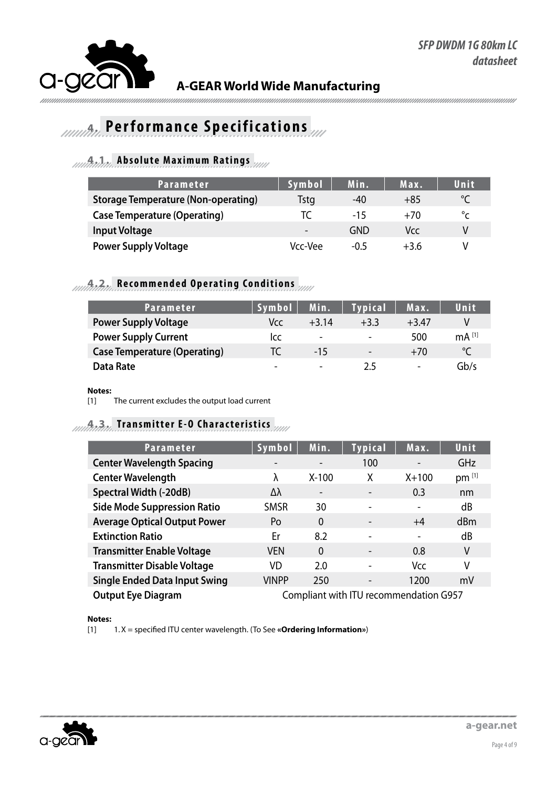

### *A. Performance Specifications*

### **4.1. Absolute Maximum Ratings**

| Parameter                                  | <b>Symbol</b>            | Min.   | Max.   | Unit         |
|--------------------------------------------|--------------------------|--------|--------|--------------|
| <b>Storage Temperature (Non-operating)</b> | Tstg                     | -40    | $+85$  | $\circ$      |
| <b>Case Temperature (Operating)</b>        | IC.                      | $-15$  | $+70$  | $^{\circ}$ c |
| <b>Input Voltage</b>                       | $\overline{\phantom{0}}$ | GND    | Vcc    | V            |
| <b>Power Supply Voltage</b>                | Vcc-Vee                  | $-0.5$ | $+3.6$ |              |

### **4.2. Recommended Operating Conditions**

| Parameter                           | <b>Symbol</b> | Min.                     | <b>Typical</b>           | Max.                     | Unit                |
|-------------------------------------|---------------|--------------------------|--------------------------|--------------------------|---------------------|
| <b>Power Supply Voltage</b>         | Vcc.          | $+3.14$                  | $+3.3$                   | $+3.47$                  |                     |
| <b>Power Supply Current</b>         | Icc           | $\overline{\phantom{0}}$ | $\overline{\phantom{0}}$ | 500                      | $mA$ <sup>[1]</sup> |
| <b>Case Temperature (Operating)</b> | TC            | $-15$                    | $\qquad \qquad -$        | $+70$                    | $\circ$             |
| Data Rate                           | -             | $\overline{\phantom{0}}$ | 2.5                      | $\overline{\phantom{a}}$ | Gb/s                |

#### **Notes:**

[1] The current excludes the output load current

#### **4.3. Transmitter E-O Characteristics**

| <b>Parameter</b>                     | Symbol                                 | Min.                     | <b>Typical</b>           | Max.                     | Unit       |
|--------------------------------------|----------------------------------------|--------------------------|--------------------------|--------------------------|------------|
| <b>Center Wavelength Spacing</b>     | $\overline{\phantom{0}}$               | $\overline{\phantom{a}}$ | 100                      | $\overline{\phantom{a}}$ | <b>GHz</b> |
| <b>Center Wavelength</b>             | λ                                      | $X-100$                  | Χ                        | $X + 100$                | pm [1]     |
| <b>Spectral Width (-20dB)</b>        | Δλ                                     | $\overline{\phantom{a}}$ | $\overline{\phantom{a}}$ | 0.3                      | nm         |
| <b>Side Mode Suppression Ratio</b>   | <b>SMSR</b>                            | 30                       | -                        | $\blacksquare$           | dB         |
| <b>Average Optical Output Power</b>  | Po                                     | $\Omega$                 | -                        | $+4$                     | dBm        |
| <b>Extinction Ratio</b>              | Er                                     | 8.2                      | -                        | $\overline{\phantom{a}}$ | dB         |
| <b>Transmitter Enable Voltage</b>    | <b>VEN</b>                             | $\Omega$                 | -                        | 0.8                      | V          |
| <b>Transmitter Disable Voltage</b>   | VD                                     | 2.0                      |                          | Vcc                      | ٧          |
| <b>Single Ended Data Input Swing</b> | VINPP                                  | 250                      | -                        | 1200                     | mV         |
| <b>Output Eye Diagram</b>            | Compliant with ITU recommendation G957 |                          |                          |                          |            |

**Notes:**

[1] 1.X = specified ITU center wavelength. (To See **«Ordering Information»**)

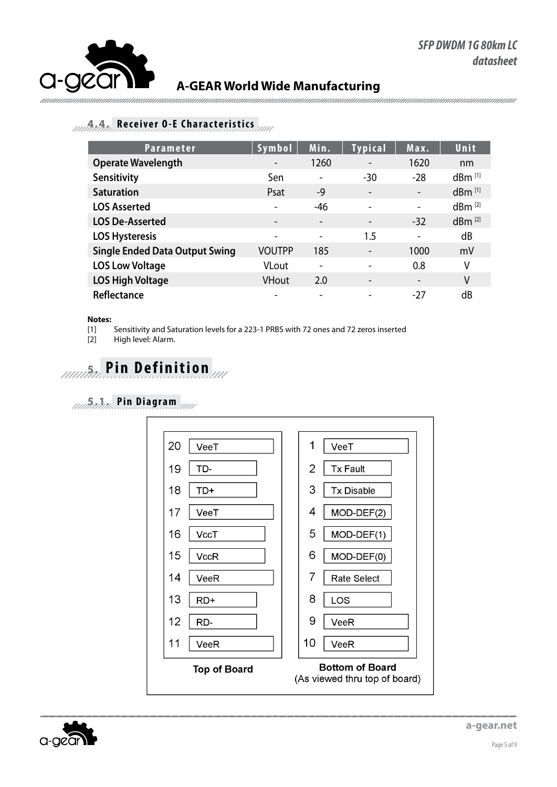#### **4.4. Receiver O-E Characteristics**

| <b>Parameter</b>                      | Symbol                   | Min.                     | <b>Typical</b>           | Max.                     | Unit                 |
|---------------------------------------|--------------------------|--------------------------|--------------------------|--------------------------|----------------------|
| <b>Operate Wavelength</b>             | $\overline{\phantom{a}}$ | 1260                     | $\overline{\phantom{a}}$ | 1620                     | nm                   |
| Sensitivity                           | Sen                      | $\overline{\phantom{a}}$ | -30                      | $-28$                    | $dBm$ <sup>[1]</sup> |
| <b>Saturation</b>                     | Psat                     | -9                       | $\overline{\phantom{a}}$ | $\overline{\phantom{a}}$ | $dBm$ <sup>[1]</sup> |
| <b>LOS Asserted</b>                   |                          | -46                      | $\overline{\phantom{a}}$ | $\overline{\phantom{a}}$ | $dBm^{[2]}$          |
| <b>LOS De-Asserted</b>                |                          | $\overline{\phantom{a}}$ | $\overline{\phantom{a}}$ | $-32$                    | $dBm^{[2]}$          |
| <b>LOS Hysteresis</b>                 | $\overline{\phantom{0}}$ | $\overline{\phantom{a}}$ | 1.5                      | $\overline{\phantom{a}}$ | dB                   |
| <b>Single Ended Data Output Swing</b> | VOUTPP                   | 185                      | -                        | 1000                     | mV                   |
| <b>LOS Low Voltage</b>                | <b>VLout</b>             | $\overline{\phantom{a}}$ | $\overline{\phantom{0}}$ | 0.8                      | ٧                    |
| <b>LOS High Voltage</b>               | <b>VHout</b>             | 2.0                      | $\overline{\phantom{a}}$ | $\overline{\phantom{a}}$ | V                    |
| Reflectance                           |                          |                          |                          | -27                      | dB                   |

#### **Notes:**

[1] Sensitivity and Saturation levels for a 223-1 PRBS with 72 ones and 72 zeros inserted

[2] High level: Alarm.



### **5.1. P i n D i a g r a m**



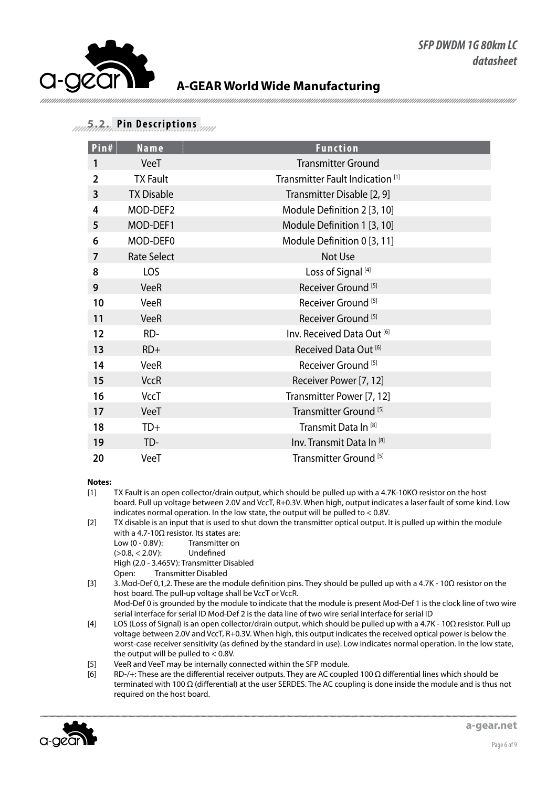#### **5.2. Pin Descriptions**

| Pin#           | Name               | <b>Function</b>                             |
|----------------|--------------------|---------------------------------------------|
| 1              | VeeT               | <b>Transmitter Ground</b>                   |
| $\overline{2}$ | <b>TX Fault</b>    | Transmitter Fault Indication <sup>[1]</sup> |
| 3              | <b>TX Disable</b>  | Transmitter Disable [2, 9]                  |
| 4              | MOD-DEF2           | Module Definition 2 [3, 10]                 |
| 5              | MOD-DEF1           | Module Definition 1 [3, 10]                 |
| 6              | MOD-DEF0           | Module Definition 0 [3, 11]                 |
| 7              | <b>Rate Select</b> | Not Use                                     |
| 8              | LOS                | Loss of Signal <sup>[4]</sup>               |
| 9              | <b>VeeR</b>        | Receiver Ground <sup>[5]</sup>              |
| 10             | <b>VeeR</b>        | Receiver Ground <sup>[5]</sup>              |
| 11             | <b>VeeR</b>        | Receiver Ground <sup>[5]</sup>              |
| 12             | RD-                | Inv. Received Data Out [6]                  |
| 13             | $RD+$              | Received Data Out <sup>[6]</sup>            |
| 14             | VeeR               | Receiver Ground <sup>[5]</sup>              |
| 15             | <b>VccR</b>        | Receiver Power [7, 12]                      |
| 16             | <b>VccT</b>        | Transmitter Power [7, 12]                   |
| 17             | VeeT               | Transmitter Ground <sup>[5]</sup>           |
| 18             | TD+                | Transmit Data In <sup>[8]</sup>             |
| 19             | TD-                | Inv. Transmit Data In <sup>[8]</sup>        |
| 20             | VeeT               | Transmitter Ground <sup>[5]</sup>           |

#### **Notes:**

- [1] TX Fault is an open collector/drain output, which should be pulled up with a 4.7K-10KΩ resistor on the host board. Pull up voltage between 2.0V and VccT, R+0.3V. When high, output indicates a laser fault of some kind. Low indicates normal operation. In the low state, the output will be pulled to < 0.8V.
- [2] TX disable is an input that is used to shut down the transmitter optical output. It is pulled up within the module with a 4.7-10Ω resistor. Its states are:
	- Low (0 0.8V): Transmitter on (>0.8, < 2.0V): Undefined High (2.0 - 3.465V): Transmitter Disabled<br>Open: Transmitter Disabled **Transmitter Disabled**
- [3] 3.Mod-Def 0,1,2. These are the module definition pins. They should be pulled up with a 4.7K 10Ω resistor on the host board. The pull-up voltage shall be VccT or VccR. Mod-Def 0 is grounded by the module to indicate that the module is present Mod-Def 1 is the clock line of two wire serial interface for serial ID Mod-Def 2 is the data line of two wire serial interface for serial ID
- [4] LOS (Loss of Signal) is an open collector/drain output, which should be pulled up with a 4.7K 10Ω resistor. Pull up voltage between 2.0V and VccT, R+0.3V. When high, this output indicates the received optical power is below the worst-case receiver sensitivity (as defined by the standard in use). Low indicates normal operation. In the low state, the output will be pulled to  $< 0.8V$ .
- [5] VeeR and VeeT may be internally connected within the SFP module.
- [6] RD-/+: These are the differential receiver outputs. They are AC coupled 100 Ω differential lines which should be terminated with 100 Ω (differential) at the user SERDES. The AC coupling is done inside the module and is thus not required on the host board.

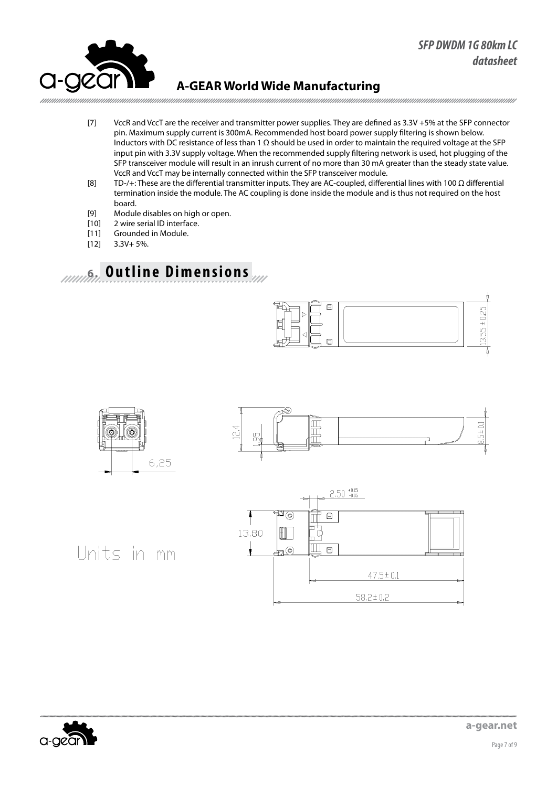

- [7] VccR and VccT are the receiver and transmitter power supplies. They are defined as 3.3V +5% at the SFP connector pin. Maximum supply current is 300mA. Recommended host board power supply filtering is shown below. Inductors with DC resistance of less than 1 Ω should be used in order to maintain the required voltage at the SFP input pin with 3.3V supply voltage. When the recommended supply filtering network is used, hot plugging of the SFP transceiver module will result in an inrush current of no more than 30 mA greater than the steady state value. VccR and VccT may be internally connected within the SFP transceiver module.
- [8] TD-/+: These are the differential transmitter inputs. They are AC-coupled, differential lines with 100 Ω differential termination inside the module. The AC coupling is done inside the module and is thus not required on the host board.
- [9] Module disables on high or open.
- [10] 2 wire serial ID interface.
- [11] Grounded in Module.
- $[12]$  3.3V + 5%.

### **6. Outline Dimensions**









Units in mm

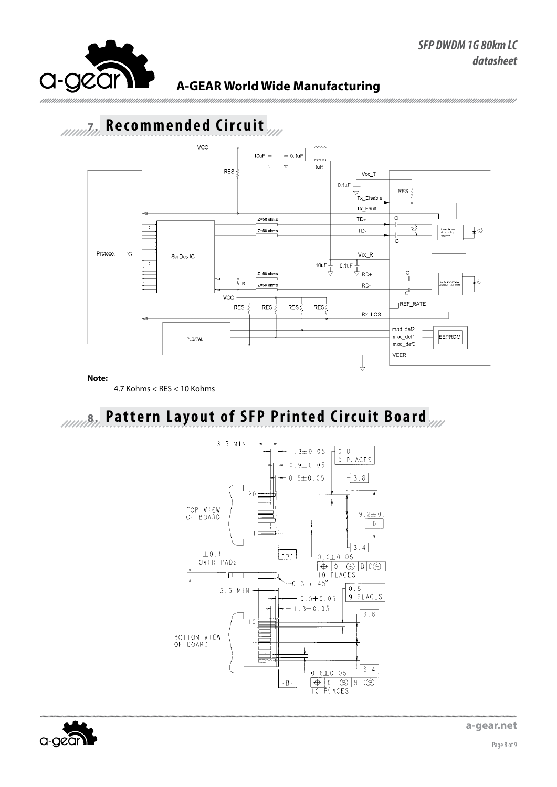

## Annual Recommended Circuit



#### Note:

4.7 Kohms < RES < 10 Kohms

# **Additional Pattern Layout of SFP Printed Circuit Board**





a-gear.net